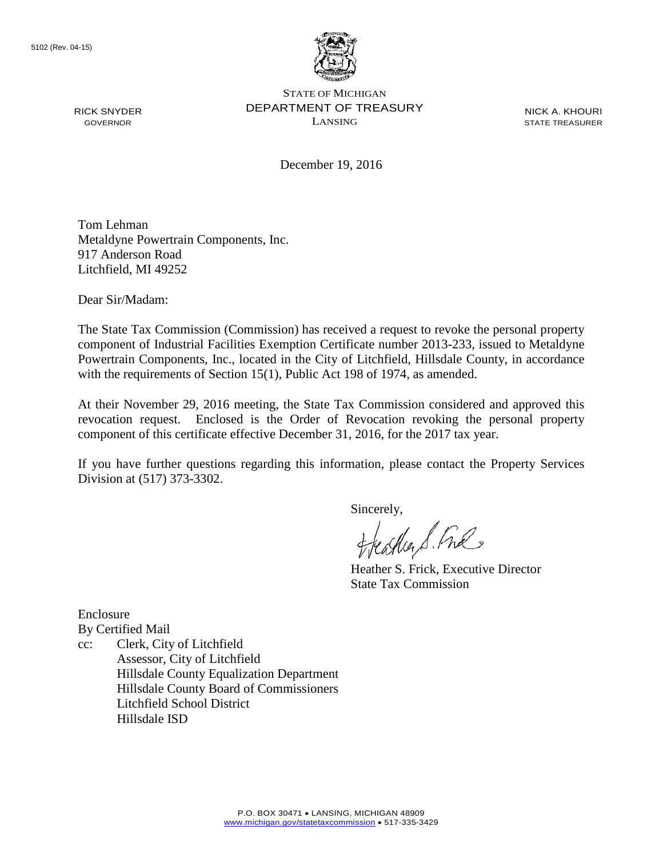

NICK A. KHOURI STATE TREASURER

December 19, 2016

Tom Lehman Metaldyne Powertrain Components, Inc. 917 Anderson Road Litchfield, MI 49252

Dear Sir/Madam:

RICK SNYDER GOVERNOR

The State Tax Commission (Commission) has received a request to revoke the personal property component of Industrial Facilities Exemption Certificate number 2013-233, issued to Metaldyne Powertrain Components, Inc., located in the City of Litchfield, Hillsdale County, in accordance with the requirements of Section 15(1), Public Act 198 of 1974, as amended.

At their November 29, 2016 meeting, the State Tax Commission considered and approved this revocation request. Enclosed is the Order of Revocation revoking the personal property component of this certificate effective December 31, 2016, for the 2017 tax year.

If you have further questions regarding this information, please contact the Property Services Division at (517) 373-3302.

Sincerely,

eagher S. Free

Heather S. Frick, Executive Director State Tax Commission

Enclosure By Certified Mail

cc: Clerk, City of Litchfield Assessor, City of Litchfield Hillsdale County Equalization Department Hillsdale County Board of Commissioners Litchfield School District Hillsdale ISD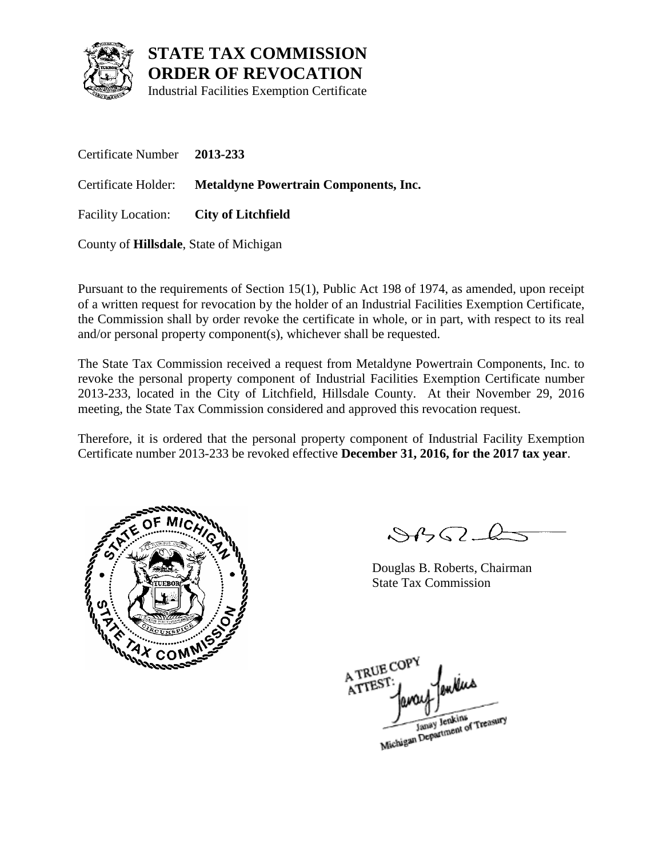

Industrial Facilities Exemption Certificate

Certificate Number **2013-233** Certificate Holder: **Metaldyne Powertrain Components, Inc.** Facility Location: **City of Litchfield**

County of **Hillsdale**, State of Michigan

Pursuant to the requirements of Section 15(1), Public Act 198 of 1974, as amended, upon receipt of a written request for revocation by the holder of an Industrial Facilities Exemption Certificate, the Commission shall by order revoke the certificate in whole, or in part, with respect to its real and/or personal property component(s), whichever shall be requested.

The State Tax Commission received a request from Metaldyne Powertrain Components, Inc. to revoke the personal property component of Industrial Facilities Exemption Certificate number 2013-233, located in the City of Litchfield, Hillsdale County. At their November 29, 2016 meeting, the State Tax Commission considered and approved this revocation request.

Therefore, it is ordered that the personal property component of Industrial Facility Exemption Certificate number 2013-233 be revoked effective **December 31, 2016, for the 2017 tax year**.



 $8450 - 6$ 

Douglas B. Roberts, Chairman State Tax Commission

A TRUE COP ATTEST Janay Jenkins<br>Michigan Department of Treasury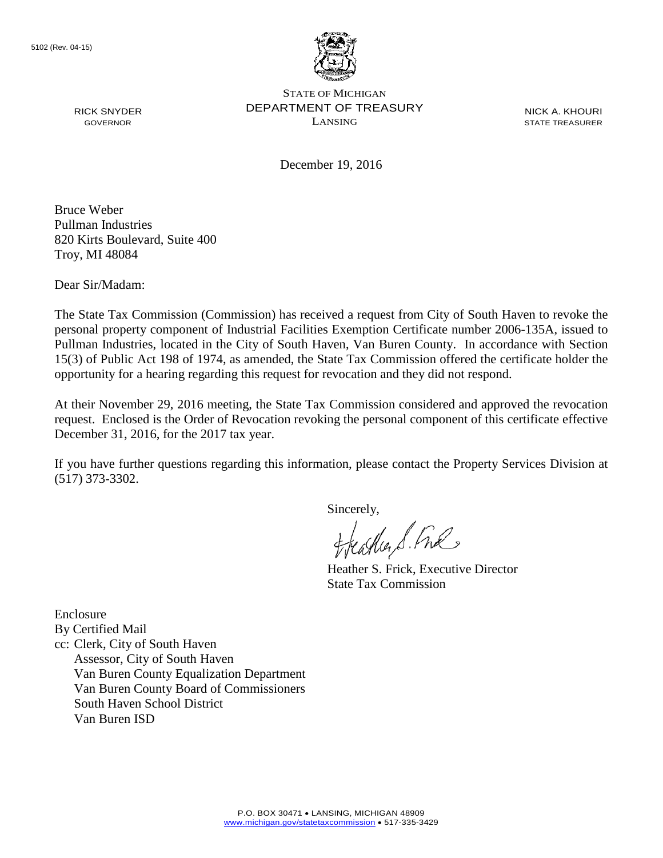

NICK A. KHOURI STATE TREASURER

December 19, 2016

Bruce Weber Pullman Industries 820 Kirts Boulevard, Suite 400 Troy, MI 48084

Dear Sir/Madam:

RICK SNYDER GOVERNOR

The State Tax Commission (Commission) has received a request from City of South Haven to revoke the personal property component of Industrial Facilities Exemption Certificate number 2006-135A, issued to Pullman Industries, located in the City of South Haven, Van Buren County. In accordance with Section 15(3) of Public Act 198 of 1974, as amended, the State Tax Commission offered the certificate holder the opportunity for a hearing regarding this request for revocation and they did not respond.

At their November 29, 2016 meeting, the State Tax Commission considered and approved the revocation request. Enclosed is the Order of Revocation revoking the personal component of this certificate effective December 31, 2016, for the 2017 tax year.

If you have further questions regarding this information, please contact the Property Services Division at (517) 373-3302.

Sincerely,

eagher S. Free

Heather S. Frick, Executive Director State Tax Commission

Enclosure By Certified Mail cc: Clerk, City of South Haven Assessor, City of South Haven Van Buren County Equalization Department Van Buren County Board of Commissioners South Haven School District Van Buren ISD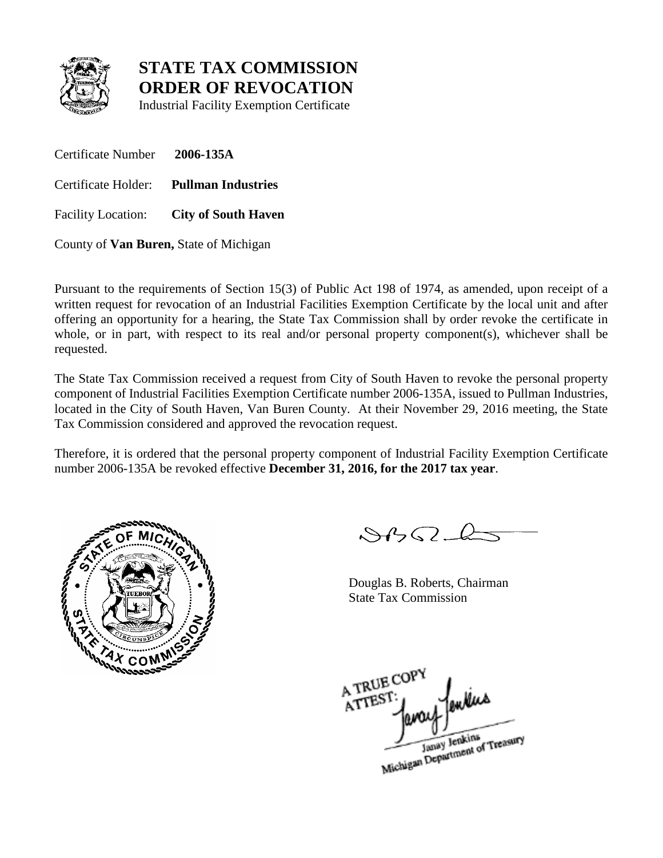

Industrial Facility Exemption Certificate

Certificate Number **2006-135A** Certificate Holder: **Pullman Industries** Facility Location: **City of South Haven**

County of **Van Buren,** State of Michigan

Pursuant to the requirements of Section 15(3) of Public Act 198 of 1974, as amended, upon receipt of a written request for revocation of an Industrial Facilities Exemption Certificate by the local unit and after offering an opportunity for a hearing, the State Tax Commission shall by order revoke the certificate in whole, or in part, with respect to its real and/or personal property component(s), whichever shall be requested.

The State Tax Commission received a request from City of South Haven to revoke the personal property component of Industrial Facilities Exemption Certificate number 2006-135A, issued to Pullman Industries, located in the City of South Haven, Van Buren County. At their November 29, 2016 meeting, the State Tax Commission considered and approved the revocation request.

Therefore, it is ordered that the personal property component of Industrial Facility Exemption Certificate number 2006-135A be revoked effective **December 31, 2016, for the 2017 tax year**.



 $882 - 6$ 

Douglas B. Roberts, Chairman State Tax Commission

A TRUE COP A TREST

Janay Jenkins<br>Michigan Department of Treasury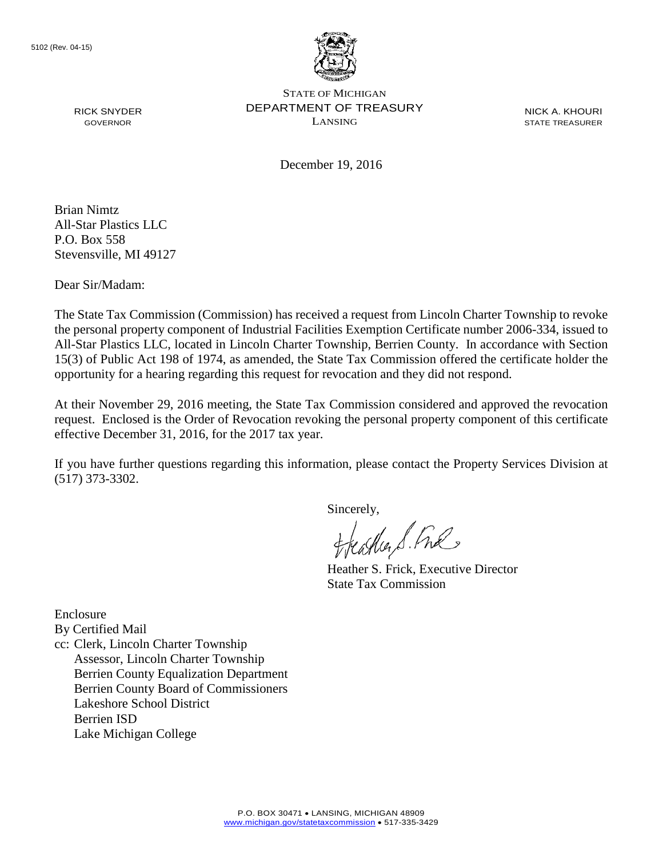

NICK A. KHOURI STATE TREASURER

December 19, 2016

Brian Nimtz All-Star Plastics LLC P.O. Box 558 Stevensville, MI 49127

RICK SNYDER GOVERNOR

Dear Sir/Madam:

The State Tax Commission (Commission) has received a request from Lincoln Charter Township to revoke the personal property component of Industrial Facilities Exemption Certificate number 2006-334, issued to All-Star Plastics LLC, located in Lincoln Charter Township, Berrien County. In accordance with Section 15(3) of Public Act 198 of 1974, as amended, the State Tax Commission offered the certificate holder the opportunity for a hearing regarding this request for revocation and they did not respond.

At their November 29, 2016 meeting, the State Tax Commission considered and approved the revocation request. Enclosed is the Order of Revocation revoking the personal property component of this certificate effective December 31, 2016, for the 2017 tax year.

If you have further questions regarding this information, please contact the Property Services Division at (517) 373-3302.

Sincerely,

eagher S. Free

Heather S. Frick, Executive Director State Tax Commission

Enclosure

By Certified Mail

cc: Clerk, Lincoln Charter Township Assessor, Lincoln Charter Township Berrien County Equalization Department Berrien County Board of Commissioners Lakeshore School District Berrien ISD Lake Michigan College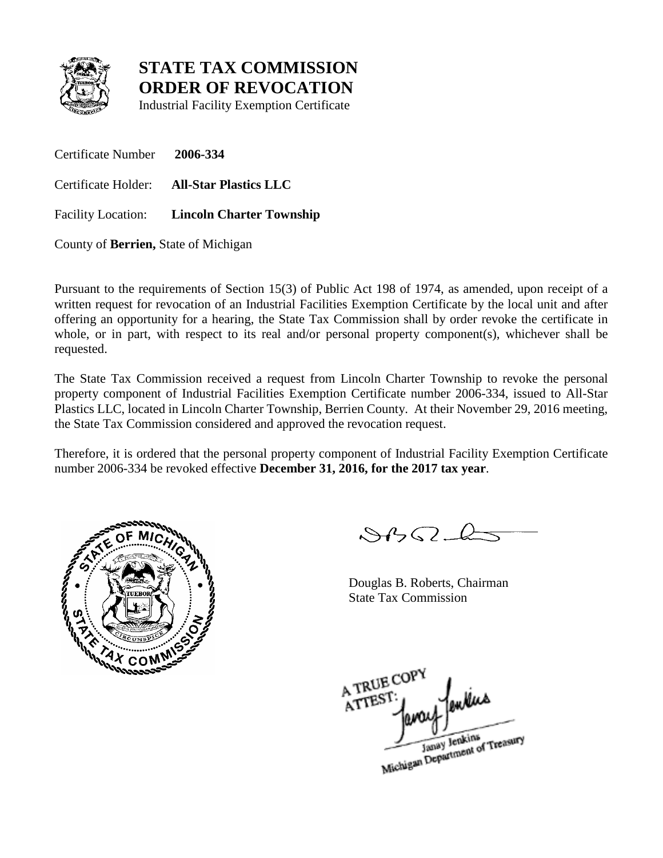

Industrial Facility Exemption Certificate

Certificate Number **2006-334** Certificate Holder: **All-Star Plastics LLC**

Facility Location: **Lincoln Charter Township**

County of **Berrien,** State of Michigan

Pursuant to the requirements of Section 15(3) of Public Act 198 of 1974, as amended, upon receipt of a written request for revocation of an Industrial Facilities Exemption Certificate by the local unit and after offering an opportunity for a hearing, the State Tax Commission shall by order revoke the certificate in whole, or in part, with respect to its real and/or personal property component(s), whichever shall be requested.

The State Tax Commission received a request from Lincoln Charter Township to revoke the personal property component of Industrial Facilities Exemption Certificate number 2006-334, issued to All-Star Plastics LLC, located in Lincoln Charter Township, Berrien County. At their November 29, 2016 meeting, the State Tax Commission considered and approved the revocation request.

Therefore, it is ordered that the personal property component of Industrial Facility Exemption Certificate number 2006-334 be revoked effective **December 31, 2016, for the 2017 tax year**.



 $882 - 6$ 

Douglas B. Roberts, Chairman State Tax Commission

A TRUE COP A TREST

Janay Jenkins<br>Michigan Department of Treasury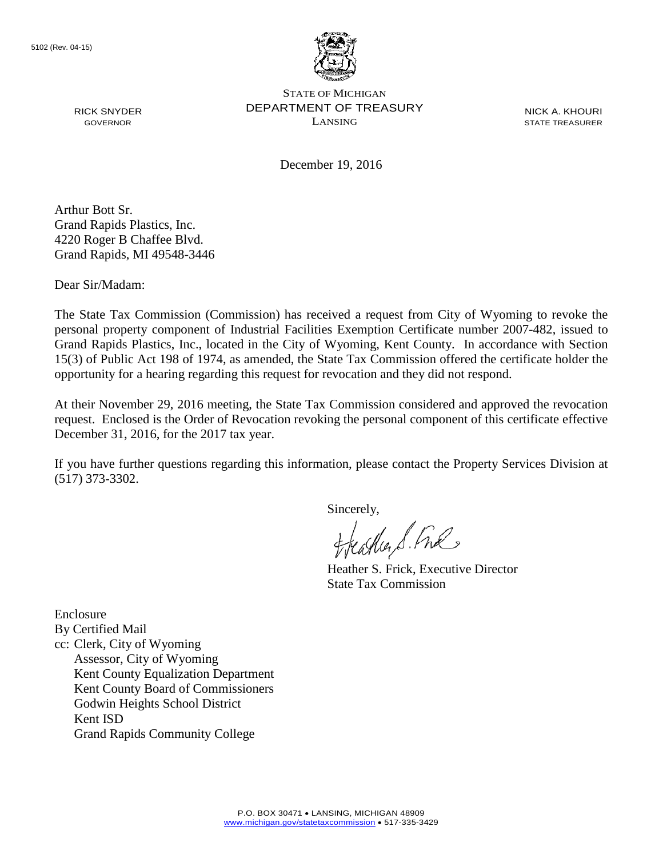

NICK A. KHOURI STATE TREASURER

December 19, 2016

Arthur Bott Sr. Grand Rapids Plastics, Inc. 4220 Roger B Chaffee Blvd. Grand Rapids, MI 49548-3446

Dear Sir/Madam:

RICK SNYDER GOVERNOR

The State Tax Commission (Commission) has received a request from City of Wyoming to revoke the personal property component of Industrial Facilities Exemption Certificate number 2007-482, issued to Grand Rapids Plastics, Inc., located in the City of Wyoming, Kent County. In accordance with Section 15(3) of Public Act 198 of 1974, as amended, the State Tax Commission offered the certificate holder the opportunity for a hearing regarding this request for revocation and they did not respond.

At their November 29, 2016 meeting, the State Tax Commission considered and approved the revocation request. Enclosed is the Order of Revocation revoking the personal component of this certificate effective December 31, 2016, for the 2017 tax year.

If you have further questions regarding this information, please contact the Property Services Division at (517) 373-3302.

Sincerely,

eagher S. Free

Heather S. Frick, Executive Director State Tax Commission

Enclosure By Certified Mail cc: Clerk, City of Wyoming Assessor, City of Wyoming Kent County Equalization Department Kent County Board of Commissioners Godwin Heights School District Kent ISD Grand Rapids Community College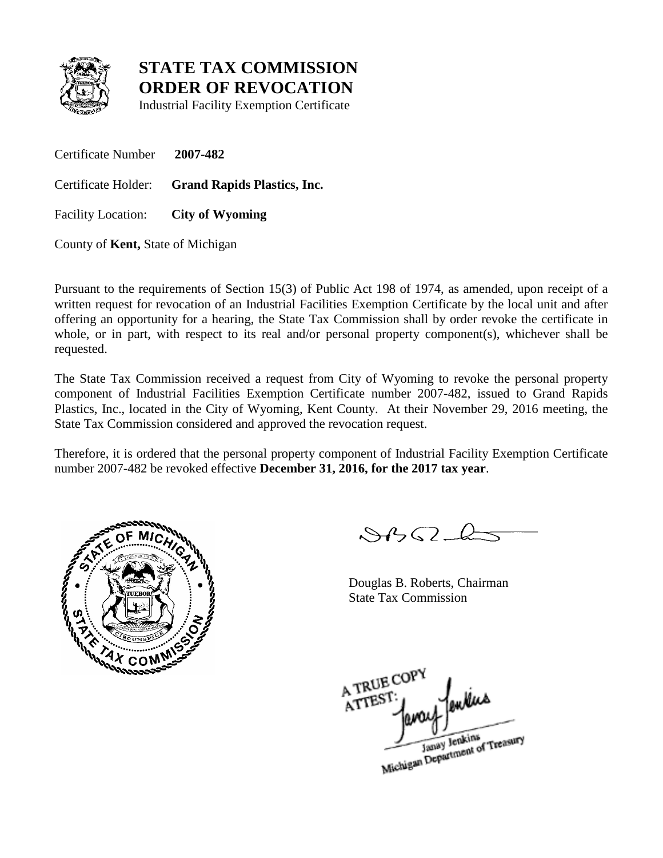

Industrial Facility Exemption Certificate

Certificate Number **2007-482**

Certificate Holder: **Grand Rapids Plastics, Inc.**

Facility Location: **City of Wyoming**

County of **Kent,** State of Michigan

Pursuant to the requirements of Section 15(3) of Public Act 198 of 1974, as amended, upon receipt of a written request for revocation of an Industrial Facilities Exemption Certificate by the local unit and after offering an opportunity for a hearing, the State Tax Commission shall by order revoke the certificate in whole, or in part, with respect to its real and/or personal property component(s), whichever shall be requested.

The State Tax Commission received a request from City of Wyoming to revoke the personal property component of Industrial Facilities Exemption Certificate number 2007-482, issued to Grand Rapids Plastics, Inc., located in the City of Wyoming, Kent County. At their November 29, 2016 meeting, the State Tax Commission considered and approved the revocation request.

Therefore, it is ordered that the personal property component of Industrial Facility Exemption Certificate number 2007-482 be revoked effective **December 31, 2016, for the 2017 tax year**.



 $882 - 6$ 

Douglas B. Roberts, Chairman State Tax Commission

A TRUE COP A TREST

Janay Jenkins<br>Michigan Department of Treasury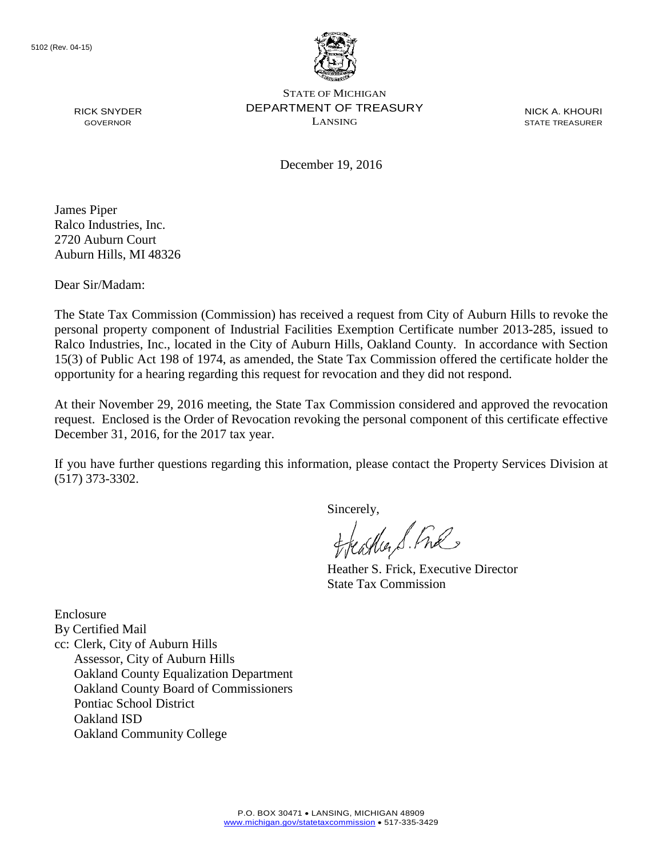

NICK A. KHOURI STATE TREASURER

December 19, 2016

James Piper Ralco Industries, Inc. 2720 Auburn Court Auburn Hills, MI 48326

RICK SNYDER GOVERNOR

Dear Sir/Madam:

The State Tax Commission (Commission) has received a request from City of Auburn Hills to revoke the personal property component of Industrial Facilities Exemption Certificate number 2013-285, issued to Ralco Industries, Inc., located in the City of Auburn Hills, Oakland County. In accordance with Section 15(3) of Public Act 198 of 1974, as amended, the State Tax Commission offered the certificate holder the opportunity for a hearing regarding this request for revocation and they did not respond.

At their November 29, 2016 meeting, the State Tax Commission considered and approved the revocation request. Enclosed is the Order of Revocation revoking the personal component of this certificate effective December 31, 2016, for the 2017 tax year.

If you have further questions regarding this information, please contact the Property Services Division at (517) 373-3302.

Sincerely,

eagher S. Free

Heather S. Frick, Executive Director State Tax Commission

Enclosure By Certified Mail cc: Clerk, City of Auburn Hills Assessor, City of Auburn Hills Oakland County Equalization Department Oakland County Board of Commissioners Pontiac School District Oakland ISD Oakland Community College